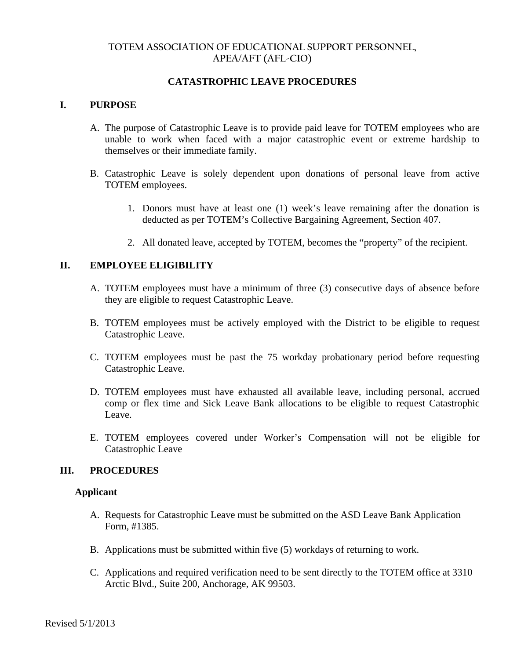## **TOTEM ASSOCIATION OF EDUCATIONAL SUPPORT PERSONNEL, APEA/AFT (AFL-CIO)**

# **CATASTROPHIC LEAVE PROCEDURES**

#### **I. PURPOSE**

- A. The purpose of Catastrophic Leave is to provide paid leave for TOTEM employees who are unable to work when faced with a major catastrophic event or extreme hardship to themselves or their immediate family.
- B. Catastrophic Leave is solely dependent upon donations of personal leave from active TOTEM employees.
	- 1. Donors must have at least one (1) week's leave remaining after the donation is deducted as per TOTEM's Collective Bargaining Agreement, Section 407.
	- 2. All donated leave, accepted by TOTEM, becomes the "property" of the recipient.

#### **II. EMPLOYEE ELIGIBILITY**

- A. TOTEM employees must have a minimum of three (3) consecutive days of absence before they are eligible to request Catastrophic Leave.
- B. TOTEM employees must be actively employed with the District to be eligible to request Catastrophic Leave.
- C. TOTEM employees must be past the 75 workday probationary period before requesting Catastrophic Leave.
- D. TOTEM employees must have exhausted all available leave, including personal, accrued comp or flex time and Sick Leave Bank allocations to be eligible to request Catastrophic Leave.
- E. TOTEM employees covered under Worker's Compensation will not be eligible for Catastrophic Leave

#### **III. PROCEDURES**

#### **Applicant**

- A. Requests for Catastrophic Leave must be submitted on the ASD Leave Bank Application Form, #1385.
- B. Applications must be submitted within five (5) workdays of returning to work.
- C. Applications and required verification need to be sent directly to the TOTEM office at 3310 Arctic Blvd., Suite 200, Anchorage, AK 99503.